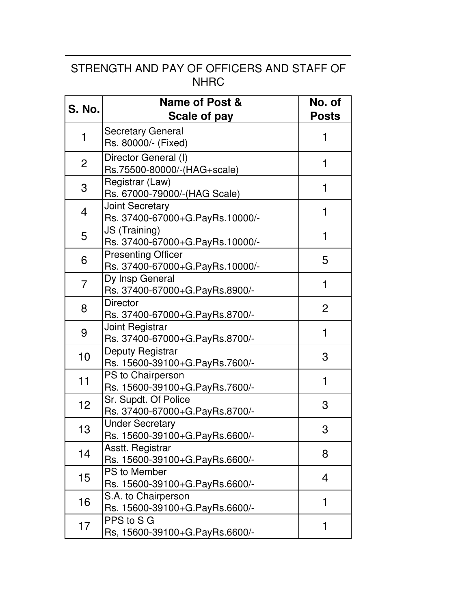## STRENGTH AND PAY OF OFFICERS AND STAFF OF NHRC

| <b>S. No.</b>  | <b>Name of Post &amp;</b><br><b>Scale of pay</b>             | No. of<br><b>Posts</b> |
|----------------|--------------------------------------------------------------|------------------------|
| 1              | <b>Secretary General</b><br>Rs. 80000/- (Fixed)              | 1                      |
| $\overline{2}$ | Director General (I)<br>Rs.75500-80000/-(HAG+scale)          | 1                      |
| 3              | Registrar (Law)<br>Rs. 67000-79000/-(HAG Scale)              | 1                      |
| 4              | <b>Joint Secretary</b><br>Rs. 37400-67000+G.PayRs.10000/-    | 1                      |
| 5              | JS (Training)<br>Rs. 37400-67000+G.PayRs.10000/-             | 1                      |
| 6              | <b>Presenting Officer</b><br>Rs. 37400-67000+G.PayRs.10000/- | 5                      |
| $\overline{7}$ | Dy Insp General<br>Rs. 37400-67000+G.PayRs.8900/-            | 1                      |
| 8              | <b>Director</b><br>Rs. 37400-67000+G.PayRs.8700/-            | $\overline{2}$         |
| 9              | Joint Registrar<br>Rs. 37400-67000+G.PayRs.8700/-            | 1                      |
| 10             | Deputy Registrar<br>Rs. 15600-39100+G.PayRs.7600/-           | 3                      |
| 11             | PS to Chairperson<br>Rs. 15600-39100+G.PayRs.7600/-          | 1                      |
| 12             | Sr. Supdt. Of Police<br>Rs. 37400-67000+G.PayRs.8700/-       | 3                      |
| 13             | <b>Under Secretary</b><br>Rs. 15600-39100+G.PayRs.6600/-     | 3                      |
| 14             | Asstt. Registrar<br>Rs. 15600-39100+G.PayRs.6600/-           | 8                      |
| 15             | PS to Member<br>Rs. 15600-39100+G.PayRs.6600/-               | 4                      |
| 16             | S.A. to Chairperson<br>Rs. 15600-39100+G.PayRs.6600/-        | 1                      |
| 17             | PPS to S G<br>Rs, 15600-39100+G.PayRs.6600/-                 | 1                      |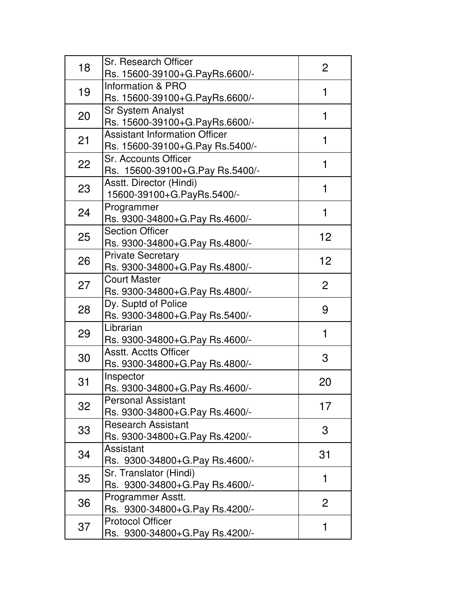| 18 | Sr. Research Officer<br>Rs. 15600-39100+G.PayRs.6600/-                  | 2              |
|----|-------------------------------------------------------------------------|----------------|
| 19 | Information & PRO<br>Rs. 15600-39100+G.PayRs.6600/-                     | 1              |
| 20 | <b>Sr System Analyst</b><br>Rs. 15600-39100+G.PayRs.6600/-              | 1              |
| 21 | <b>Assistant Information Officer</b><br>Rs. 15600-39100+G.Pay Rs.5400/- | 1              |
| 22 | <b>Sr. Accounts Officer</b><br>Rs. 15600-39100+G.Pay Rs.5400/-          | 1              |
| 23 | Asstt. Director (Hindi)<br>15600-39100+G.PayRs.5400/-                   | 1              |
| 24 | Programmer<br>Rs. 9300-34800+G.Pay Rs.4600/-                            | 1              |
| 25 | <b>Section Officer</b><br>Rs. 9300-34800+G.Pay Rs.4800/-                | 12             |
| 26 | <b>Private Secretary</b><br>Rs. 9300-34800+G.Pay Rs.4800/-              | 12             |
| 27 | <b>Court Master</b><br>Rs. 9300-34800+G.Pay Rs.4800/-                   | $\overline{2}$ |
| 28 | Dy. Suptd of Police<br>Rs. 9300-34800+G. Pay Rs. 5400/-                 | 9              |
| 29 | Librarian<br>Rs. 9300-34800+G.Pay Rs.4600/-                             | 1              |
| 30 | <b>Asstt. Acctts Officer</b><br>Rs. 9300-34800+G.Pay Rs.4800/-          | 3              |
| 31 | Inspector<br>Rs. 9300-34800+G.Pay Rs.4600/-                             | 20             |
| 32 | <b>Personal Assistant</b><br>Rs. 9300-34800+G.Pay Rs.4600/-             | 17             |
| 33 | <b>Research Assistant</b><br>Rs. 9300-34800+G.Pay Rs.4200/-             | 3              |
| 34 | Assistant<br>Rs. 9300-34800+G.Pay Rs.4600/-                             | 31             |
| 35 | Sr. Translator (Hindi)<br>Rs. 9300-34800+G.Pay Rs.4600/-                | 1              |
| 36 | Programmer Asstt.<br>Rs. 9300-34800+G.Pay Rs.4200/-                     | $\overline{2}$ |
| 37 | <b>Protocol Officer</b><br>Rs. 9300-34800+G.Pay Rs.4200/-               | 1              |